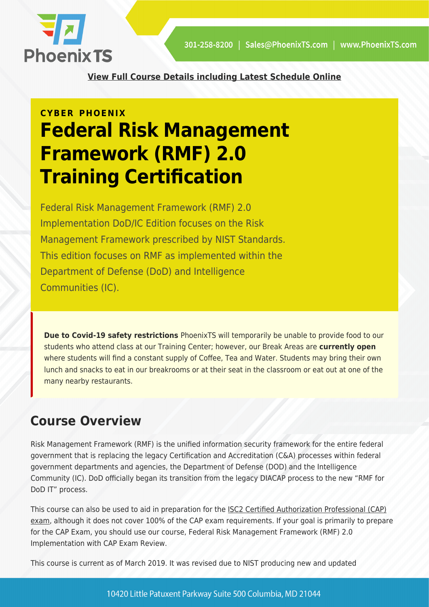

**[View Full Course Details including Latest Schedule Online](https://phoenixts.com/training-courses/rmf-risk-management-framework-training/)**

# **CYBER PHOENIX Federal Risk Management Framework (RMF) 2.0 Training Certification**

Federal Risk Management Framework (RMF) 2.0 Implementation DoD/IC Edition focuses on the Risk Management Framework prescribed by NIST Standards. This edition focuses on RMF as implemented within the Department of Defense (DoD) and Intelligence Communities (IC).

**Due to Covid-19 safety restrictions** PhoenixTS will temporarily be unable to provide food to our students who attend class at our Training Center; however, our Break Areas are **currently open** where students will find a constant supply of Coffee, Tea and Water. Students may bring their own lunch and snacks to eat in our breakrooms or at their seat in the classroom or eat out at one of the many nearby restaurants.

# **Course Overview**

Risk Management Framework (RMF) is the unified information security framework for the entire federal government that is replacing the legacy Certification and Accreditation (C&A) processes within federal government departments and agencies, the Department of Defense (DOD) and the Intelligence Community (IC). DoD officially began its transition from the legacy DIACAP process to the new "RMF for DoD IT" process.

This course can also be used to aid in preparation for the [ISC2 Certified Authorization Professional \(CAP\)](https://phoenixts.com/training-courses/certified-authorization-professional-cap-certifica/) [exam,](https://phoenixts.com/training-courses/certified-authorization-professional-cap-certifica/) although it does not cover 100% of the CAP exam requirements. If your goal is primarily to prepare for the CAP Exam, you should use our course, Federal Risk Management Framework (RMF) 2.0 Implementation with CAP Exam Review.

This course is current as of March 2019. It was revised due to NIST producing new and updated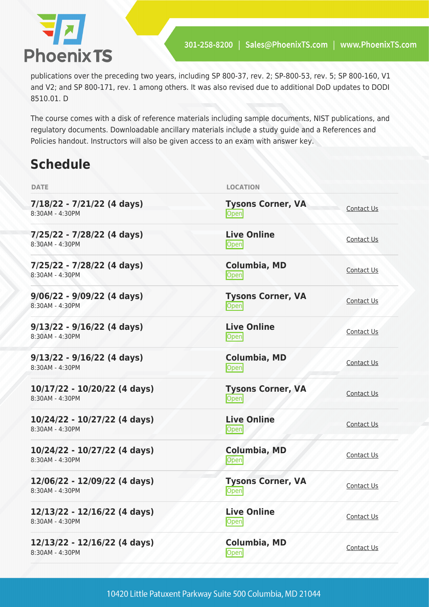

publications over the preceding two years, including SP 800-37, rev. 2; SP-800-53, rev. 5; SP 800-160, V1 and V2; and SP 800-171, rev. 1 among others. It was also revised due to additional DoD updates to DODI 8510.01. D

The course comes with a disk of reference materials including sample documents, NIST publications, and regulatory documents. Downloadable ancillary materials include a study guide and a References and Policies handout. Instructors will also be given access to an exam with answer key.

# **Schedule**

| <b>DATE</b>                                     | <b>LOCATION</b>                   |                   |
|-------------------------------------------------|-----------------------------------|-------------------|
| $7/18/22 - 7/21/22$ (4 days)<br>8:30AM - 4:30PM | <b>Tysons Corner, VA</b><br>Open  | Contact Us        |
| 7/25/22 - 7/28/22 (4 days)<br>8:30AM - 4:30PM   | <b>Live Online</b><br>Open        | Contact Us        |
| 7/25/22 - 7/28/22 (4 days)<br>8:30AM - 4:30PM   | <b>Columbia, MD</b><br>Open       | Contact Us        |
| $9/06/22 - 9/09/22$ (4 days)<br>8:30AM - 4:30PM | <b>Tysons Corner, VA</b><br>Open  | <b>Contact Us</b> |
| $9/13/22 - 9/16/22$ (4 days)<br>8:30AM - 4:30PM | <b>Live Online</b><br><b>Open</b> | Contact Us        |
| $9/13/22 - 9/16/22$ (4 days)<br>8:30AM - 4:30PM | <b>Columbia, MD</b><br>Open       | Contact Us        |
| 10/17/22 - 10/20/22 (4 days)<br>8:30AM - 4:30PM | <b>Tysons Corner, VA</b><br>Open  | Contact Us        |
| 10/24/22 - 10/27/22 (4 days)<br>8:30AM - 4:30PM | <b>Live Online</b><br>Open        | Contact Us        |
| 10/24/22 - 10/27/22 (4 days)<br>8:30AM - 4:30PM | <b>Columbia, MD</b><br>Open       | Contact Us        |
| 12/06/22 - 12/09/22 (4 days)<br>8:30AM - 4:30PM | <b>Tysons Corner, VA</b><br>Open  | <b>Contact Us</b> |
| 12/13/22 - 12/16/22 (4 days)<br>8:30AM - 4:30PM | <b>Live Online</b><br>Open        | <b>Contact Us</b> |
| 12/13/22 - 12/16/22 (4 days)<br>8:30AM - 4:30PM | Columbia, MD<br>Open              | Contact Us        |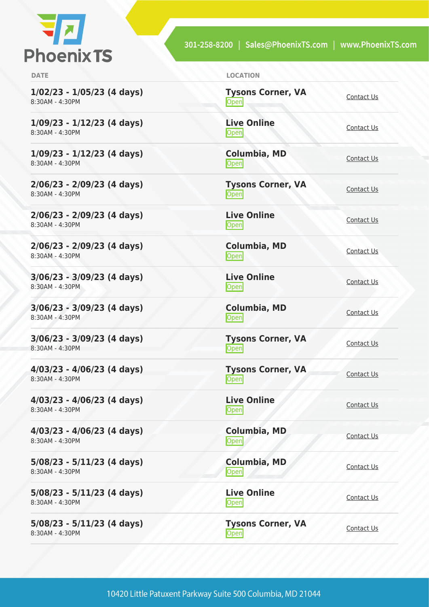

301-258-8200 | Sales@PhoenixTS.com | www.PhoenixTS.com

**1/02/23 - 1/05/23 (4 days)** 8:30AM - 4:30PM

**1/09/23 - 1/12/23 (4 days)** 8:30AM - 4:30PM

**1/09/23 - 1/12/23 (4 days)** 8:30AM - 4:30PM

**2/06/23 - 2/09/23 (4 days)** 8:30AM - 4:30PM

**2/06/23 - 2/09/23 (4 days)** 8:30AM - 4:30PM

**2/06/23 - 2/09/23 (4 days)** 8:30AM - 4:30PM

**3/06/23 - 3/09/23 (4 days)** 8:30AM - 4:30PM

**3/06/23 - 3/09/23 (4 days)** 8:30AM - 4:30PM

**3/06/23 - 3/09/23 (4 days)** 8:30AM - 4:30PM

**4/03/23 - 4/06/23 (4 days)** 8:30AM - 4:30PM

**4/03/23 - 4/06/23 (4 days)** 8:30AM - 4:30PM

**4/03/23 - 4/06/23 (4 days)** 8:30AM - 4:30PM

**5/08/23 - 5/11/23 (4 days)** 8:30AM - 4:30PM

**5/08/23 - 5/11/23 (4 days)** 8:30AM - 4:30PM

**5/08/23 - 5/11/23 (4 days)** 8:30AM - 4:30PM

**DATE LOCATION**

**Tysons Corner, VA Open** [Contact Us](https://phoenixts.com/schedule/more-info/?class=30831)

**Live Online** <u>[Contact Us](https://phoenixts.com/schedule/more-info/?class=30829)</u>

**Columbia, MD** [Contact Us](https://phoenixts.com/schedule/more-info/?class=30830)<br>Open

**Tysons Corner, VA Open** [Contact Us](https://phoenixts.com/schedule/more-info/?class=30832) Contact Us

**Live Online** <u>[Contact Us](https://phoenixts.com/schedule/more-info/?class=30833)</u>

**Columbia, MD** [Contact Us](https://phoenixts.com/schedule/more-info/?class=30834)<br>Open

**Live Online** <u>Open</u><br>Open [Contact Us](https://phoenixts.com/schedule/more-info/?class=30835)

**Columbia, MD [Contact Us](https://phoenixts.com/schedule/more-info/?class=30836)**<br> **Open** 

**Tysons Corner, VA Open** [Contact Us](https://phoenixts.com/schedule/more-info/?class=30837)

**Tysons Corner, VA Open** [Contact Us](https://phoenixts.com/schedule/more-info/?class=30838)

**Live Online** <u>[Contact Us](https://phoenixts.com/schedule/more-info/?class=30839)</u>

**Columbia, MD** [Contact Us](https://phoenixts.com/schedule/more-info/?class=30840)<br>Open

**Columbia, MD** [Contact Us](https://phoenixts.com/schedule/more-info/?class=30841)<br>Open Contact Us **Live Online**

<u>Open</u> [Contact Us](https://phoenixts.com/schedule/more-info/?class=30842)

**Tysons Corner, VA Open** [Contact Us](https://phoenixts.com/schedule/more-info/?class=30843)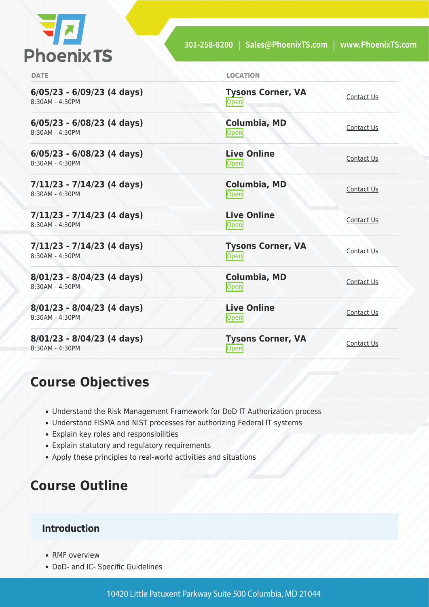

| <b>DATE</b>                                     | <b>LOCATION</b>                       |            |
|-------------------------------------------------|---------------------------------------|------------|
| $6/05/23 - 6/09/23$ (4 days)<br>8:30AM - 4:30PM | <b>Tysons Corner, VA</b><br>Open      | Contact Us |
| $6/05/23 - 6/08/23$ (4 days)<br>8:30AM - 4:30PM | Columbia, MD<br>Open                  | Contact Us |
| $6/05/23 - 6/08/23$ (4 days)<br>8:30AM - 4:30PM | <b>Live Online</b><br><b>Open</b>     | Contact Us |
| $7/11/23 - 7/14/23$ (4 days)<br>8:30AM - 4:30PM | <b>Columbia, MD</b><br>Open           | Contact Us |
| $7/11/23 - 7/14/23$ (4 days)<br>8:30AM - 4:30PM | <b>Live Online</b><br>$\mathsf{Open}$ | Contact Us |
| 7/11/23 - 7/14/23 (4 days)<br>8:30AM - 4:30PM   | <b>Tysons Corner, VA</b><br>Open      | Contact Us |
| $8/01/23 - 8/04/23$ (4 days)<br>8:30AM - 4:30PM | <b>Columbia, MD</b><br>Open           | Contact Us |
| $8/01/23 - 8/04/23$ (4 days)<br>8:30AM - 4:30PM | <b>Live Online</b><br><b>Open</b>     | Contact Us |
| $8/01/23 - 8/04/23$ (4 days)<br>8:30AM - 4:30PM | <b>Tysons Corner, VA</b><br>Open      | Contact Us |

## **Course Objectives**

- Understand the Risk Management Framework for DoD IT Authorization process
- Understand FISMA and NIST processes for authorizing Federal IT systems
- Explain key roles and responsibilities
- Explain statutory and regulatory requirements
- Apply these principles to real-world activities and situations

# **Course Outline**

#### **Introduction**

- RMF overview
- DoD- and IC- Specific Guidelines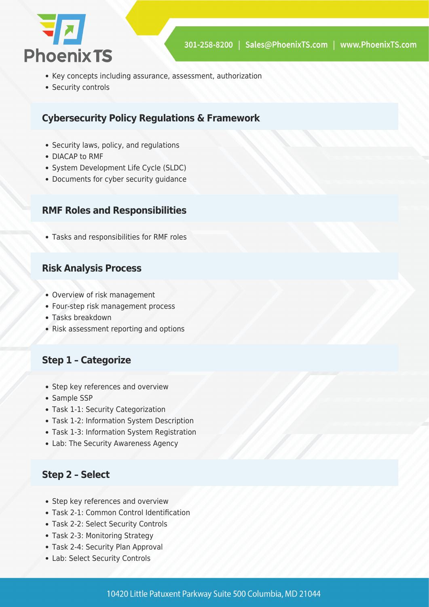

- Key concepts including assurance, assessment, authorization
- Security controls

#### **Cybersecurity Policy Regulations & Framework**

- Security laws, policy, and regulations
- DIACAP to RMF
- System Development Life Cycle (SLDC)
- Documents for cyber security quidance

#### **RMF Roles and Responsibilities**

Tasks and responsibilities for RMF roles

#### **Risk Analysis Process**

- Overview of risk management
- Four-step risk management process
- Tasks breakdown
- Risk assessment reporting and options

#### **Step 1 – Categorize**

- Step key references and overview
- Sample SSP
- Task 1-1: Security Categorization
- Task 1-2: Information System Description
- Task 1-3: Information System Registration
- Lab: The Security Awareness Agency

#### **Step 2 – Select**

- Step key references and overview
- Task 2-1: Common Control Identification
- Task 2-2: Select Security Controls
- Task 2-3: Monitoring Strategy
- Task 2-4: Security Plan Approval
- Lab: Select Security Controls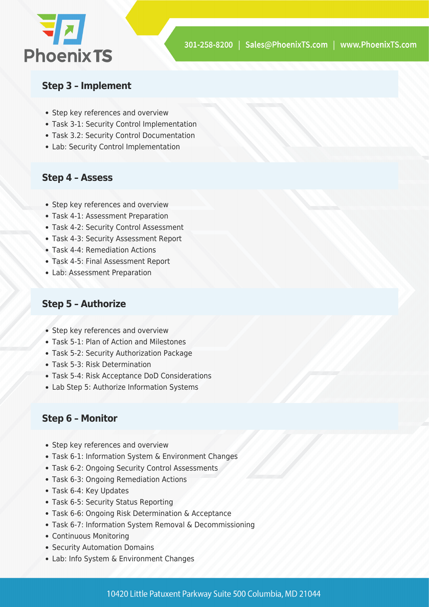

#### **Step 3 – Implement**

- Step key references and overview
- Task 3-1: Security Control Implementation
- Task 3.2: Security Control Documentation
- Lab: Security Control Implementation

#### **Step 4 – Assess**

- Step key references and overview
- Task 4-1: Assessment Preparation
- Task 4-2: Security Control Assessment
- Task 4-3: Security Assessment Report
- Task 4-4: Remediation Actions
- Task 4-5: Final Assessment Report
- Lab: Assessment Preparation

#### **Step 5 – Authorize**

- Step key references and overview
- Task 5-1: Plan of Action and Milestones
- Task 5-2: Security Authorization Package
- Task 5-3: Risk Determination
- Task 5-4: Risk Acceptance DoD Considerations
- Lab Step 5: Authorize Information Systems

#### **Step 6 – Monitor**

- Step key references and overview
- Task 6-1: Information System & Environment Changes
- Task 6-2: Ongoing Security Control Assessments
- Task 6-3: Ongoing Remediation Actions
- Task 6-4: Key Updates
- Task 6-5: Security Status Reporting
- Task 6-6: Ongoing Risk Determination & Acceptance
- Task 6-7: Information System Removal & Decommissioning
- Continuous Monitoring
- Security Automation Domains
- Lab: Info System & Environment Changes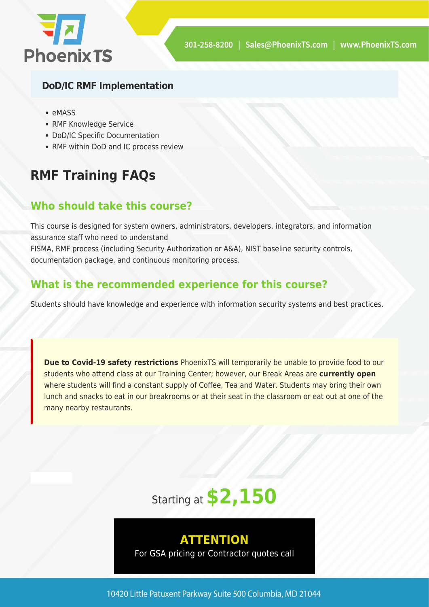

#### **DoD/IC RMF Implementation**

- eMASS
- RMF Knowledge Service
- DoD/IC Specific Documentation
- RMF within DoD and IC process review

# **RMF Training FAQs**

### **Who should take this course?**

This course is designed for system owners, administrators, developers, integrators, and information assurance staff who need to understand

FISMA, RMF process (including Security Authorization or A&A), NIST baseline security controls, documentation package, and continuous monitoring process.

### **What is the recommended experience for this course?**

Students should have knowledge and experience with information security systems and best practices.

**Due to Covid-19 safety restrictions** PhoenixTS will temporarily be unable to provide food to our students who attend class at our Training Center; however, our Break Areas are **currently open** where students will find a constant supply of Coffee, Tea and Water. Students may bring their own lunch and snacks to eat in our breakrooms or at their seat in the classroom or eat out at one of the many nearby restaurants.

# Starting at **\$2,150**

### **ATTENTION**

For GSA pricing or Contractor quotes call